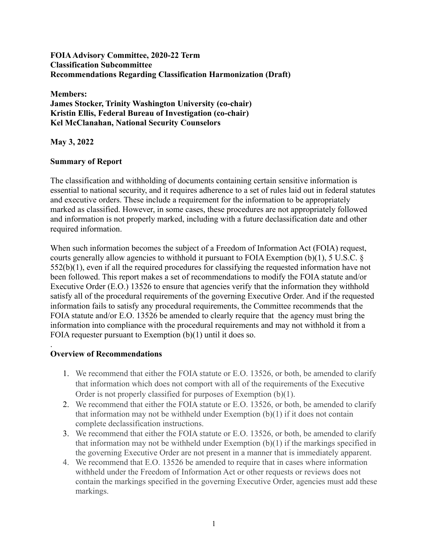### **FOIAAdvisory Committee, 2020-22 Term Classification Subcommittee Recommendations Regarding Classification Harmonization (Draft)**

**Members: James Stocker, Trinity Washington University (co-chair) Kristin Ellis, Federal Bureau of Investigation (co-chair) Kel McClanahan, National Security Counselors**

**May 3, 2022**

## **Summary of Report**

The classification and withholding of documents containing certain sensitive information is essential to national security, and it requires adherence to a set of rules laid out in federal statutes and executive orders. These include a requirement for the information to be appropriately marked as classified. However, in some cases, these procedures are not appropriately followed and information is not properly marked, including with a future declassification date and other required information.

When such information becomes the subject of a Freedom of Information Act (FOIA) request, courts generally allow agencies to withhold it pursuant to FOIA Exemption (b)(1), 5 U.S.C. § 552(b)(1), even if all the required procedures for classifying the requested information have not been followed. This report makes a set of recommendations to modify the FOIA statute and/or Executive Order (E.O.) 13526 to ensure that agencies verify that the information they withhold satisfy all of the procedural requirements of the governing Executive Order. And if the requested information fails to satisfy any procedural requirements, the Committee recommends that the FOIA statute and/or E.O. 13526 be amended to clearly require that the agency must bring the information into compliance with the procedural requirements and may not withhold it from a FOIA requester pursuant to Exemption (b)(1) until it does so.

#### . **Overview of Recommendations**

- 1. We recommend that either the FOIA statute or E.O. 13526, or both, be amended to clarify that information which does not comport with all of the requirements of the Executive Order is not properly classified for purposes of Exemption (b)(1).
- 2. We recommend that either the FOIA statute or E.O. 13526, or both, be amended to clarify that information may not be withheld under Exemption  $(b)(1)$  if it does not contain complete declassification instructions.
- 3. We recommend that either the FOIA statute or E.O. 13526, or both, be amended to clarify that information may not be withheld under Exemption (b)(1) if the markings specified in the governing Executive Order are not present in a manner that is immediately apparent.
- 4. We recommend that E.O. 13526 be amended to require that in cases where information withheld under the Freedom of Information Act or other requests or reviews does not contain the markings specified in the governing Executive Order, agencies must add these markings.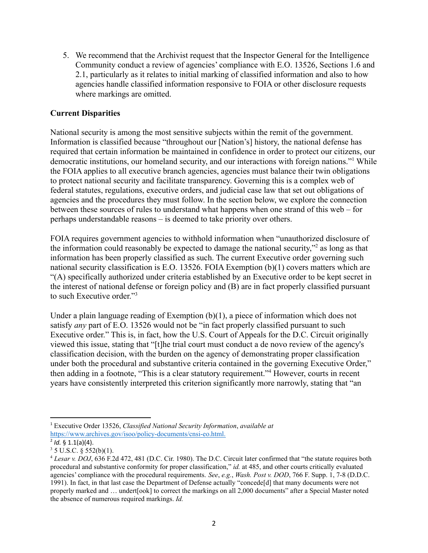Community conduct a review of agencies' compliance with E.O. 13526, Sections 1.6 and 2.1, particularly as it relates to initial marking of classified information and also to how agencies handle classified information responsive to FOIA or other disclosure requests where markings are omitted.

### **Current Disparities**

5. We recommend that the Archivist request that the Inspector General for the Inspector Collecting<br>community conduct a review of agencies' compliance with E.O. 13526, Sections 1.6<br>2.1, particularly as it relates to initia National security is among the most sensitive subjects within the remit of the government. Information is classified because "throughout our [Nation's] history, the national defense has required that certain information be maintained in confidence in order to protect our citizens, our democratic institutions, our homeland security, and our interactions with foreign nations."1 While the FOIA applies to all executive branch agencies, agencies must balance their twin obligations to protect national security and facilitate transparency. Governing this is a complex web of federal statutes, regulations, executive orders, and judicial case law that set out obligations of agencies and the procedures they must follow. In the section below, we explore the connection between these sources of rules to understand what happens when one strand of this web – for perhaps understandable reasons – is deemed to take priority over others.

FOIA requires government agencies to withhold information when "unauthorized disclosure of the information could reasonably be expected to damage the national security,"2 as long as that information has been properly classified as such. The current Executive order governing such national security classification is E.O. 13526. FOIA Exemption (b)(1) covers matters which are "(A) specifically authorized under criteria established by an Executive order to be kept secret in the interest of national defense or foreign policy and (B) are in fact properly classified pursuant to such Executive order."3

 satisfy *any* part of E.O. 13526 would not be "in fact properly classified pursuant to such Under a plain language reading of Exemption (b)(1), a piece of information which does not Executive order." This is, in fact, how the U.S. Court of Appeals for the D.C. Circuit originally viewed this issue, stating that "[t]he trial court must conduct a de novo review of the agency's classification decision, with the burden on the agency of demonstrating proper classification under both the procedural and substantive criteria contained in the governing Executive Order," then adding in a footnote, "This is a clear statutory requirement."4 However, courts in recent years have consistently interpreted this criterion significantly more narrowly, stating that "an

 <sup>1</sup> Executive Order 13526, *Classified National Security Information*, *available at* <sup>1</sup> Executive Ord<br>https://www.arc<br><sup>2</sup> *Id.* § 1.1(a)(4). [https://www.archives.gov/isoo/policy-documents/cnsi-eo.html.](https://www.archives.gov/isoo/policy-documents/cnsi-eo.html)

 $3 \text{ J}$  U.S.C. § 552(b)(1).

 procedural and substantive conformity for proper classification," *id.* at 485, and other courts critically evaluated agencies' compliance with the procedural requirements. *See*, *e.g.*, *Wash. Post v. DOD*, 766 F. Supp. 1, 7-8 (D.D.C. 1991). In fact, in that last case the Department of Defense actually "concede[d] that many documents were not properly marked and … undert[ook] to correct the markings on all 2,000 documents" after a Special Master noted the absence of numerous required markings. *Id.* U.S.C.  $\xi$ <br>*esar v. L*<br>bcedural<br>encies' co <sup>4</sup> *Lesar v. DOJ*, 636 F.2d 472, 481 (D.C. Cir. 1980). The D.C. Circuit later confirmed that "the statute requires both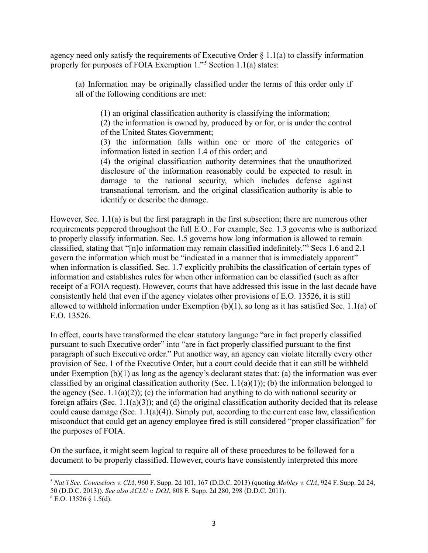properly for purposes of FOIA Exemption 1."5 Section 1.1(a) states:

 (a) Information may be originally classified under the terms of this order only if all of the following conditions are met:

(1) an original classification authority is classifying the information;

 (2) the information is owned by, produced by or for, or is under the control of the United States Government;

 (3) the information falls within one or more of the categories of information listed in section 1.4 of this order; and

 (4) the original classification authority determines that the unauthorized disclosure of the information reasonably could be expected to result in damage to the national security, which includes defense against transnational terrorism, and the original classification authority is able to identify or describe the damage.

However, Sec. 1.1(a) is but the first paragraph in the first subsection; there are numerous other requirements peppered throughout the full E.O.. For example, Sec. 1.3 governs who is authorized to properly classify information. Sec. 1.5 governs how long information is allowed to remain classified, stating that "[n]o information may remain classified indefinitely."6 Secs 1.6 and 2.1 govern the information which must be "indicated in a manner that is immediately apparent" when information is classified. Sec. 1.7 explicitly prohibits the classification of certain types of information and establishes rules for when other information can be classified (such as after receipt of a FOIA request). However, courts that have addressed this issue in the last decade have consistently held that even if the agency violates other provisions of E.O. 13526, it is still allowed to withhold information under Exemption (b)(1), so long as it has satisfied Sec. 1.1(a) of E.O. 13526.

agency rocal only satisfy the requirements of Executive Order § 1.1(a) to classify information<br>(a) Information may be originally elassified under the terms of this order only if<br>all of the Delivering conditions are met:<br>(1 In effect, courts have transformed the clear statutory language "are in fact properly classified pursuant to such Executive order" into "are in fact properly classified pursuant to the first paragraph of such Executive order." Put another way, an agency can violate literally every other provision of Sec. 1 of the Executive Order, but a court could decide that it can still be withheld under Exemption  $(b)(1)$  as long as the agency's declarant states that: (a) the information was ever classified by an original classification authority (Sec.  $1.1(a)(1)$ ); (b) the information belonged to the agency (Sec. 1.1(a)(2)); (c) the information had anything to do with national security or foreign affairs (Sec. 1.1(a)(3)); and (d) the original classification authority decided that its release could cause damage (Sec. 1.1(a)(4)). Simply put, according to the current case law, classification misconduct that could get an agency employee fired is still considered "proper classification" for the purposes of FOIA.

On the surface, it might seem logical to require all of these procedures to be followed for a document to be properly classified. However, courts have consistently interpreted this more

 <sup>5</sup> *Nat'l Sec. Counselors v. CIA*, 960 F. Supp. 2d 101, 167 (D.D.C. 2013) (quoting *Mobley v. CIA*, 924 F. Supp. 2d 24, 50 (D.D.C. 2013)). *See also ACLU v. DOJ*, 808 F. Supp. 2d 280, 298 (D.D.C. 2011).

 $6$  E.O. 13526 § 1.5(d).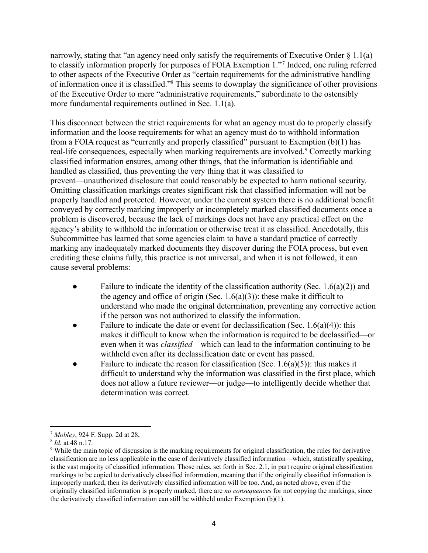to classify information properly for purposes of FOIA Exemption 1."7 Indeed, one ruling referred to other aspects of the Executive Order as "certain requirements for the administrative handling of information once it is classified."8 This seems to downplay the significance of other provisions of the Executive Order to mere "administrative requirements," subordinate to the ostensibly more fundamental requirements outlined in Sec. 1.1(a).

marrowly, stating that "an agency read only satisfy the requirements of Excelvive Order & Excelvive Order & The and the order speech of the following the reduction of the factority Order as "ectinic requirements for the ad This disconnect between the strict requirements for what an agency must do to properly classify information and the loose requirements for what an agency must do to withhold information from a FOIA request as "currently and properly classified" pursuant to Exemption (b)(1) has real-life consequences, especially when marking requirements are involved.<sup>9</sup> Correctly marking classified information ensures, among other things, that the information is identifiable and handled as classified, thus preventing the very thing that it was classified to prevent—unauthorized disclosure that could reasonably be expected to harm national security. Omitting classification markings creates significant risk that classified information will not be properly handled and protected. However, under the current system there is no additional benefit conveyed by correctly marking improperly or incompletely marked classified documents once a problem is discovered, because the lack of markings does not have any practical effect on the agency's ability to withhold the information or otherwise treat it as classified. Anecdotally, this Subcommittee has learned that some agencies claim to have a standard practice of correctly marking any inadequately marked documents they discover during the FOIA process, but even crediting these claims fully, this practice is not universal, and when it is not followed, it can cause several problems:

- Failure to indicate the identity of the classification authority (Sec. 1.6(a)(2)) and the agency and office of origin (Sec.  $1.6(a)(3)$ ): these make it difficult to understand who made the original determination, preventing any corrective action if the person was not authorized to classify the information.
- Failure to indicate the date or event for declassification (Sec.  $1.6(a)(4)$ ): this makes it difficult to know when the information is required to be declassified—or even when it was *classified*—which can lead to the information continuing to be withheld even after its declassification date or event has passed.
- Failure to indicate the reason for classification (Sec.  $1.6(a)(5)$ ): this makes it difficult to understand why the information was classified in the first place, which does not allow a future reviewer—or judge—to intelligently decide whether that determination was correct.

 <sup>7</sup> *Mobley*, 924 F. Supp. 2d at 28,

 <sup>8</sup> *Id.* at 48 n.17.

<sup>&</sup>lt;sup>9</sup> While the main topic of discussion is the marking requirements for original classification, the rules for derivative classification are no less applicable in the case of derivatively classified information—which, statistically speaking, is the vast majority of classified information. Those rules, set forth in Sec. 2.1, in part require original classification markings to be copied to derivatively classified information, meaning that if the originally classified information is improperly marked, then its derivatively classified information will be too. And, as noted above, even if the originally classified information is properly marked, there are *no consequences* for not copying the markings, since the derivatively classified information can still be withheld under Exemption (b)(1).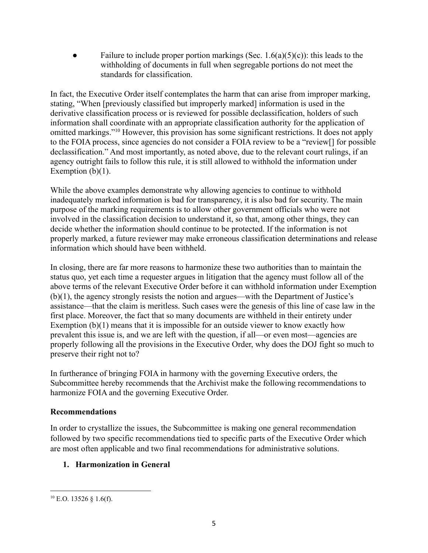Failure to include proper portion markings (Sec. 1.6(a)(5)(c)): this leads to the withholding of documents in full when segregable portions do not meet the standards for classification.

In fact, the Executive Order itself contemplates the harm that can arise from improper marking, stating, "When [previously classified but improperly marked] information is used in the derivative classification process or is reviewed for possible declassification, holders of such information shall coordinate with an appropriate classification authority for the application of omitted markings."10 However, this provision has some significant restrictions. It does not apply to the FOIA process, since agencies do not consider a FOIA review to be a "review[] for possible declassification." And most importantly, as noted above, due to the relevant court rulings, if an agency outright fails to follow this rule, it is still allowed to withhold the information under Exemption  $(b)(1)$ .

While the above examples demonstrate why allowing agencies to continue to withhold inadequately marked information is bad for transparency, it is also bad for security. The main purpose of the marking requirements is to allow other government officials who were not involved in the classification decision to understand it, so that, among other things, they can decide whether the information should continue to be protected. If the information is not properly marked, a future reviewer may make erroneous classification determinations and release information which should have been withheld.

In closing, there are far more reasons to harmonize these two authorities than to maintain the status quo, yet each time a requester argues in litigation that the agency must follow all of the above terms of the relevant Executive Order before it can withhold information under Exemption (b)(1), the agency strongly resists the notion and argues—with the Department of Justice's assistance—that the claim is meritless. Such cases were the genesis of this line of case law in the first place. Moreover, the fact that so many documents are withheld in their entirety under Exemption  $(b)(1)$  means that it is impossible for an outside viewer to know exactly how prevalent this issue is, and we are left with the question, if all—or even most—agencies are properly following all the provisions in the Executive Order, why does the DOJ fight so much to preserve their right not to?

In furtherance of bringing FOIA in harmony with the governing Executive orders, the Subcommittee hereby recommends that the Archivist make the following recommendations to harmonize FOIA and the governing Executive Order.

## **Recommendations**

In order to crystallize the issues, the Subcommittee is making one general recommendation followed by two specific recommendations tied to specific parts of the Executive Order which are most often applicable and two final recommendations for administrative solutions.

# **1. Harmonization in General**

 $^{10}$  E.O. 13526 § 1.6(f).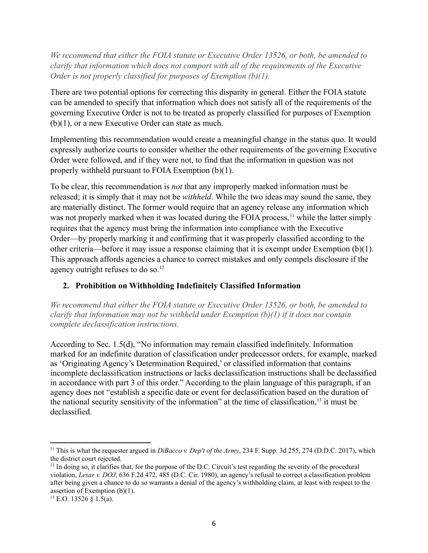*clarify that information which does not comport with all of the requirements of the Executive Order is not properly classified for purposes of Exemption (b)(1).*

There are two potential options for correcting this disparity in general. Either the FOIA statute can be amended to specify that information which does not satisfy all of the requirements of the governing Executive Order is not to be treated as properly classified for purposes of Exemption (b)(1), or a new Executive Order can state as much.

Implementing this recommendation would create a meaningful change in the status quo. It would expressly authorize courts to consider whether the other requirements of the governing Executive Order were followed, and if they were not, to find that the information in question was not properly withheld pursuant to FOIA Exemption (b)(1).

 To be clear, this recommendation is *not* that any improperly marked information must be released; it is simply that it may not be *withheld*. While the two ideas may sound the same, they *We recommend that either FoIA statute or Executive Order 13526, or both, be amended to exert the FOIA statute or Executive Order is not properly classified for purposes of Exemption (b)(1).<br>There are two potential optical* are materially distinct. The former would require that an agency release any information which was not properly marked when it was located during the FOIA process, <sup>11</sup> while the latter simply requires that the agency must bring the information into compliance with the Executive Order—by properly marking it and confirming that it was properly classified according to the other criteria—before it may issue a response claiming that it is exempt under Exemption (b)(1). This approach affords agencies a chance to correct mistakes and only compels disclosure if the agency outright refuses to do so.<sup>12</sup>

## **2. Prohibition on Withholding Indefinitely Classified Information**

*We recommend that either the FOIA statute or Executive Order 13526, or both, be amended to clarify that information may not be withheld under Exemption (b)(1) if it does not contain complete declassification instructions.*

According to Sec. 1.5(d), "No information may remain classified indefinitely. Information marked for an indefinite duration of classification under predecessor orders, for example, marked as 'Originating Agency's Determination Required,' or classified information that contains incomplete declassification instructions or lacks declassification instructions shall be declassified in accordance with part 3 of this order." According to the plain language of this paragraph, if an agency does not "establish a specific date or event for declassification based on the duration of the national security sensitivity of the information" at the time of classification,  $13$  it must be declassified.

 <sup>11</sup> This is what the requester argued in *DiBacco v. Dep't of the Army*, 234 F. Supp. 3d 255, 274 (D.D.C. 2017), which the district court rejected.

 violation, *Lesar v. DOJ*, 636 F.2d 472, 485 (D.C. Cir. 1980), an agency's refusal to correct a classification problem after being given a chance to do so warrants a denial of the agency's withholding claim, at least with respect to the assertion of Exemption (b)(1). This is v<br>district<br>n doing<br>lation,  $12$  In doing so, it clarifies that, for the purpose of the D.C. Circuit's test regarding the severity of the procedural

 $^{13}$  E.O. 13526 § 1.5(a).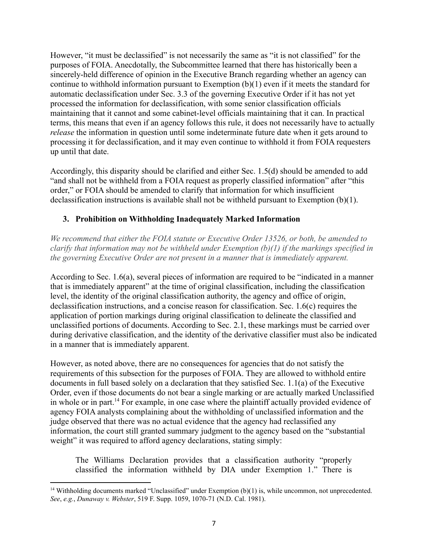However, "it must be declassified" is not necessarily the same as "it is not classified" for the purposes of FOIA. Anecdotally, the Subcommittee learned that there has historically been a sincerely-held difference of opinion in the Executive Branch regarding whether an agency can continue to withhold information pursuant to Exemption (b)(1) even if it meets the standard for automatic declassification under Sec. 3.3 of the governing Executive Order if it has not yet processed the information for declassification, with some senior classification officials maintaining that it cannot and some cabinet-level officials maintaining that it can. In practical terms, this means that even if an agency follows this rule, it does not necessarily have to actually *release* the information in question until some indeterminate future date when it gets around to processing it for declassification, and it may even continue to withhold it from FOIA requesters up until that date.

Accordingly, this disparity should be clarified and either Sec. 1.5(d) should be amended to add "and shall not be withheld from a FOIA request as properly classified information" after "this order," or FOIA should be amended to clarify that information for which insufficient declassification instructions is available shall not be withheld pursuant to Exemption (b)(1).

### **3. Prohibition on Withholding Inadequately Marked Information**

*We recommend that either the FOIA statute or Executive Order 13526, or both, be amended to clarify that information may not be withheld under Exemption (b)(1) if the markings specified in the governing Executive Order are not present in a manner that is immediately apparent.*

According to Sec. 1.6(a), several pieces of information are required to be "indicated in a manner that is immediately apparent" at the time of original classification, including the classification level, the identity of the original classification authority, the agency and office of origin, declassification instructions, and a concise reason for classification. Sec. 1.6(c) requires the application of portion markings during original classification to delineate the classified and unclassified portions of documents. According to Sec. 2.1, these markings must be carried over during derivative classification, and the identity of the derivative classifier must also be indicated in a manner that is immediately apparent.

However, as noted above, there are no consequences for agencies that do not satisfy the requirements of this subsection for the purposes of FOIA. They are allowed to withhold entire documents in full based solely on a declaration that they satisfied Sec. 1.1(a) of the Executive Order, even if those documents do not bear a single marking or are actually marked Unclassified in whole or in part.<sup>14</sup> For example, in one case where the plaintiff actually provided evidence of agency FOIA analysts complaining about the withholding of unclassified information and the judge observed that there was no actual evidence that the agency had reclassified any information, the court still granted summary judgment to the agency based on the "substantial weight" it was required to afford agency declarations, stating simply:

 The Williams Declaration provides that a classification authority "properly classified the information withheld by DIA under Exemption 1." There is

<sup>&</sup>lt;sup>14</sup> Withholding documents marked "Unclassified" under Exemption  $(b)(1)$  is, while uncommon, not unprecedented. <sup>14</sup> Withholding documents marked "Unclassified" under Exemption (b)(1) is, *See*, *e.g.*, *Dunaway v. Webster*, 519 F. Supp. 1059, 1070-71 (N.D. Cal. 1981).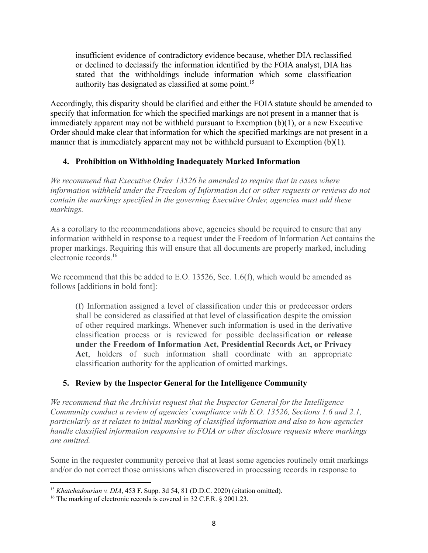insufficient evidence of contradictory evidence because, whether DIA reclassified or declined to declassify the information identified by the FOIA analyst, DIA has stated that the withholdings include information which some classification authority has designated as classified at some point.<sup>15</sup>

Accordingly, this disparity should be clarified and either the FOIA statute should be amended to specify that information for which the specified markings are not present in a manner that is immediately apparent may not be withheld pursuant to Exemption (b)(1), or a new Executive Order should make clear that information for which the specified markings are not present in a manner that is immediately apparent may not be withheld pursuant to Exemption (b)(1).

### **4. Prohibition on Withholding Inadequately Marked Information**

*We recommend that Executive Order 13526 be amended to require that in cases where information withheld under the Freedom of Information Act or other requests or reviews do not contain the markings specified in the governing Executive Order, agencies must add these markings.*

As a corollary to the recommendations above, agencies should be required to ensure that any information withheld in response to a request under the Freedom of Information Act contains the proper markings. Requiring this will ensure that all documents are properly marked, including electronic [records.16](https://records.16)

We recommend that this be added to E.O. 13526, Sec. 1.6(f), which would be amended as follows [additions in bold font]:

 (f) Information assigned a level of classification under this or predecessor orders shall be considered as classified at that level of classification despite the omission of other required markings. Whenever such information is used in the derivative classification process or is reviewed for possible declassification **or release under the Freedom of Information Act, Presidential Records Act, or Privacy Act**, holders of such information shall coordinate with an appropriate insufficient wividence of contradictory evidence because, whether DIA reclassifies<br>and that the withholdness include information identificial ty the FOIA analyst, DIA has<br>student that the withholdness include information classification authority for the application of omitted markings.

## **5. Review by the Inspector General for the Intelligence Community**

*We recommend that the Archivist request that the Inspector General for the Intelligence Community conduct a review of agencies' compliance with E.O. 13526, Sections 1.6 and 2.1, particularly as it relates to initial marking of classified information and also to how agencies handle classified information responsive to FOIA or other disclosure requests where markings are omitted.*

Some in the requester community perceive that at least some agencies routinely omit markings and/or do not correct those omissions when discovered in processing records in response to

 <sup>15</sup> *Khatchadourian v. DIA*, 453 F. Supp. 3d 54, 81 (D.D.C. 2020) (citation omitted).

<sup>&</sup>lt;sup>16</sup> The marking of electronic records is covered in 32 C.F.R. § 2001.23.